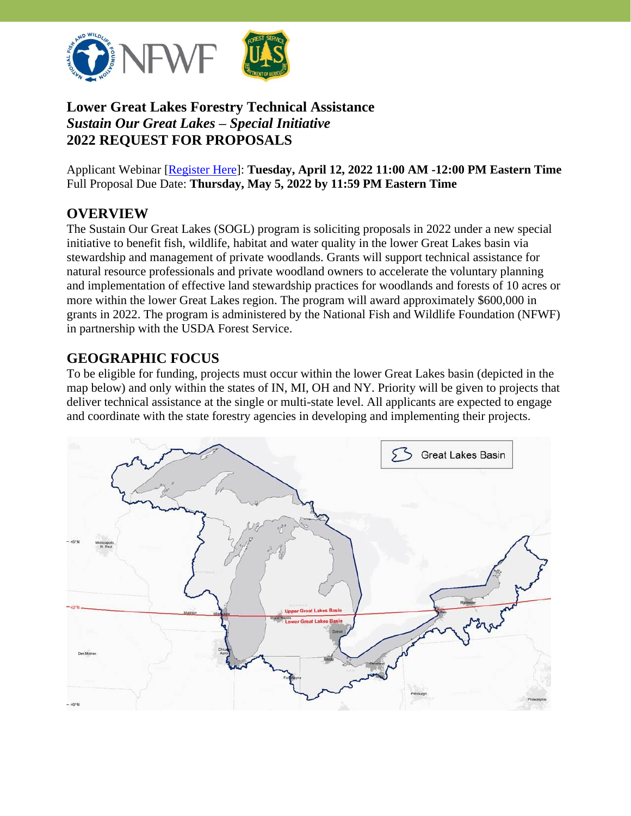

# **Lower Great Lakes Forestry Technical Assistance** *Sustain Our Great Lakes – Special Initiative* **2022 REQUEST FOR PROPOSALS**

Applicant Webinar [\[Register Here\]](https://attendee.gotowebinar.com/register/5420412426778255371): **Tuesday, April 12, 2022 11:00 AM -12:00 PM Eastern Time** Full Proposal Due Date: **Thursday, May 5, 2022 by 11:59 PM Eastern Time**

# **OVERVIEW**

The Sustain Our Great Lakes (SOGL) program is soliciting proposals in 2022 under a new special initiative to benefit fish, wildlife, habitat and water quality in the lower Great Lakes basin via stewardship and management of private woodlands. Grants will support technical assistance for natural resource professionals and private woodland owners to accelerate the voluntary planning and implementation of effective land stewardship practices for woodlands and forests of 10 acres or more within the lower Great Lakes region. The program will award approximately \$600,000 in grants in 2022. The program is administered by the National Fish and Wildlife Foundation (NFWF) in partnership with the USDA Forest Service.

# **GEOGRAPHIC FOCUS**

To be eligible for funding, projects must occur within the lower Great Lakes basin (depicted in the map below) and only within the states of IN, MI, OH and NY. Priority will be given to projects that deliver technical assistance at the single or multi-state level. All applicants are expected to engage and coordinate with the state forestry agencies in developing and implementing their projects.

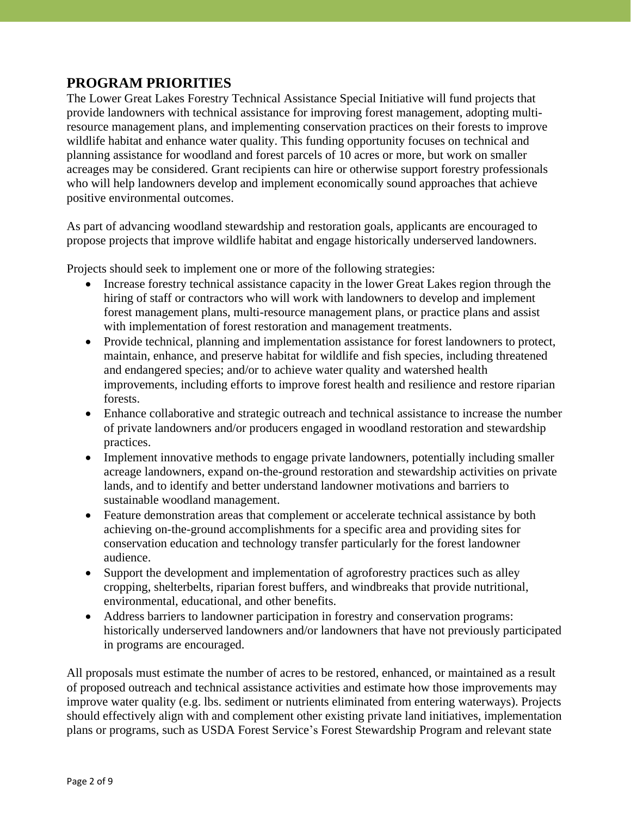#### **PROGRAM PRIORITIES**

The Lower Great Lakes Forestry Technical Assistance Special Initiative will fund projects that provide landowners with technical assistance for improving forest management, adopting multiresource management plans, and implementing conservation practices on their forests to improve wildlife habitat and enhance water quality. This funding opportunity focuses on technical and planning assistance for woodland and forest parcels of 10 acres or more, but work on smaller acreages may be considered. Grant recipients can hire or otherwise support forestry professionals who will help landowners develop and implement economically sound approaches that achieve positive environmental outcomes.

As part of advancing woodland stewardship and restoration goals, applicants are encouraged to propose projects that improve wildlife habitat and engage historically underserved landowners.

Projects should seek to implement one or more of the following strategies:

- Increase forestry technical assistance capacity in the lower Great Lakes region through the hiring of staff or contractors who will work with landowners to develop and implement forest management plans, multi-resource management plans, or practice plans and assist with implementation of forest restoration and management treatments.
- Provide technical, planning and implementation assistance for forest landowners to protect, maintain, enhance, and preserve habitat for wildlife and fish species, including threatened and endangered species; and/or to achieve water quality and watershed health improvements, including efforts to improve forest health and resilience and restore riparian forests.
- Enhance collaborative and strategic outreach and technical assistance to increase the number of private landowners and/or producers engaged in woodland restoration and stewardship practices.
- Implement innovative methods to engage private landowners, potentially including smaller acreage landowners, expand on-the-ground restoration and stewardship activities on private lands, and to identify and better understand landowner motivations and barriers to sustainable woodland management.
- Feature demonstration areas that complement or accelerate technical assistance by both achieving on-the-ground accomplishments for a specific area and providing sites for conservation education and technology transfer particularly for the forest landowner audience.
- Support the development and implementation of agroforestry practices such as alley cropping, shelterbelts, riparian forest buffers, and windbreaks that provide nutritional, environmental, educational, and other benefits.
- Address barriers to landowner participation in forestry and conservation programs: historically underserved landowners and/or landowners that have not previously participated in programs are encouraged.

All proposals must estimate the number of acres to be restored, enhanced, or maintained as a result of proposed outreach and technical assistance activities and estimate how those improvements may improve water quality (e.g. lbs. sediment or nutrients eliminated from entering waterways). Projects should effectively align with and complement other existing private land initiatives, implementation plans or programs, such as USDA Forest Service's Forest Stewardship Program and relevant state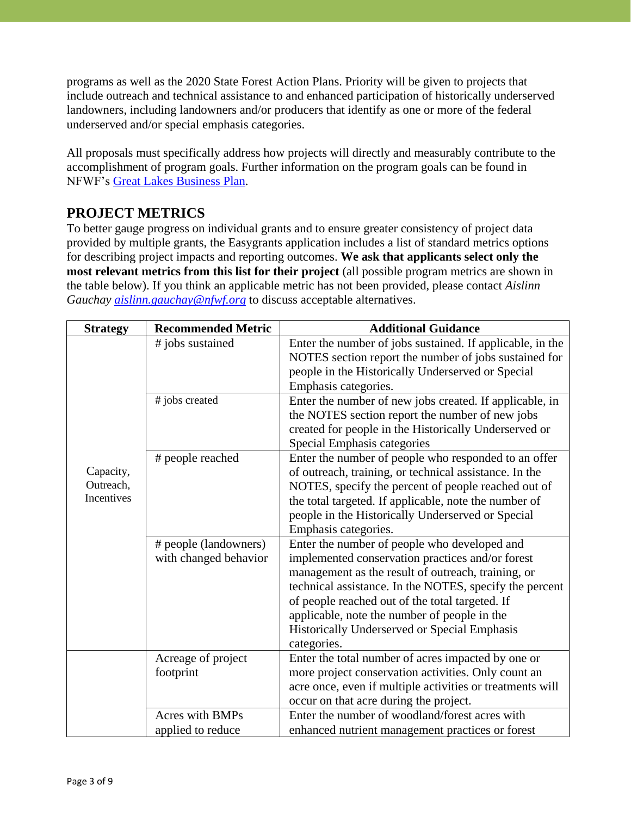programs as well as the 2020 State Forest Action Plans. Priority will be given to projects that include outreach and technical assistance to and enhanced participation of historically underserved landowners, including landowners and/or producers that identify as one or more of the federal underserved and/or special emphasis categories.

All proposals must specifically address how projects will directly and measurably contribute to the accomplishment of program goals. Further information on the program goals can be found in NFWF's [Great Lakes Business Plan.](https://www.nfwf.org/sites/default/files/greatlakes/Documents/great-lakes-business-plan.pdf)

# **PROJECT METRICS**

To better gauge progress on individual grants and to ensure greater consistency of project data provided by multiple grants, the Easygrants application includes a list of standard metrics options for describing project impacts and reporting outcomes. **We ask that applicants select only the most relevant metrics from this list for their project** (all possible program metrics are shown in the table below). If you think an applicable metric has not been provided, please contact *Aislinn Gauchay [aislinn.gauchay@nfwf.org](mailto:aislinn.gauchay@nfwf.org)* to discuss acceptable alternatives.

| <b>Strategy</b>                      | <b>Recommended Metric</b> | <b>Additional Guidance</b>                                |
|--------------------------------------|---------------------------|-----------------------------------------------------------|
| Capacity,<br>Outreach,<br>Incentives | # jobs sustained          | Enter the number of jobs sustained. If applicable, in the |
|                                      |                           | NOTES section report the number of jobs sustained for     |
|                                      |                           | people in the Historically Underserved or Special         |
|                                      |                           | Emphasis categories.                                      |
|                                      | # jobs created            | Enter the number of new jobs created. If applicable, in   |
|                                      |                           | the NOTES section report the number of new jobs           |
|                                      |                           | created for people in the Historically Underserved or     |
|                                      |                           | Special Emphasis categories                               |
|                                      | # people reached          | Enter the number of people who responded to an offer      |
|                                      |                           | of outreach, training, or technical assistance. In the    |
|                                      |                           | NOTES, specify the percent of people reached out of       |
|                                      |                           | the total targeted. If applicable, note the number of     |
|                                      |                           | people in the Historically Underserved or Special         |
|                                      |                           | Emphasis categories.                                      |
|                                      | # people (landowners)     | Enter the number of people who developed and              |
|                                      | with changed behavior     | implemented conservation practices and/or forest          |
|                                      |                           | management as the result of outreach, training, or        |
|                                      |                           | technical assistance. In the NOTES, specify the percent   |
|                                      |                           | of people reached out of the total targeted. If           |
|                                      |                           | applicable, note the number of people in the              |
|                                      |                           | Historically Underserved or Special Emphasis              |
|                                      |                           | categories.                                               |
|                                      | Acreage of project        | Enter the total number of acres impacted by one or        |
|                                      | footprint                 | more project conservation activities. Only count an       |
|                                      |                           | acre once, even if multiple activities or treatments will |
|                                      |                           | occur on that acre during the project.                    |
|                                      | <b>Acres with BMPs</b>    | Enter the number of woodland/forest acres with            |
|                                      | applied to reduce         | enhanced nutrient management practices or forest          |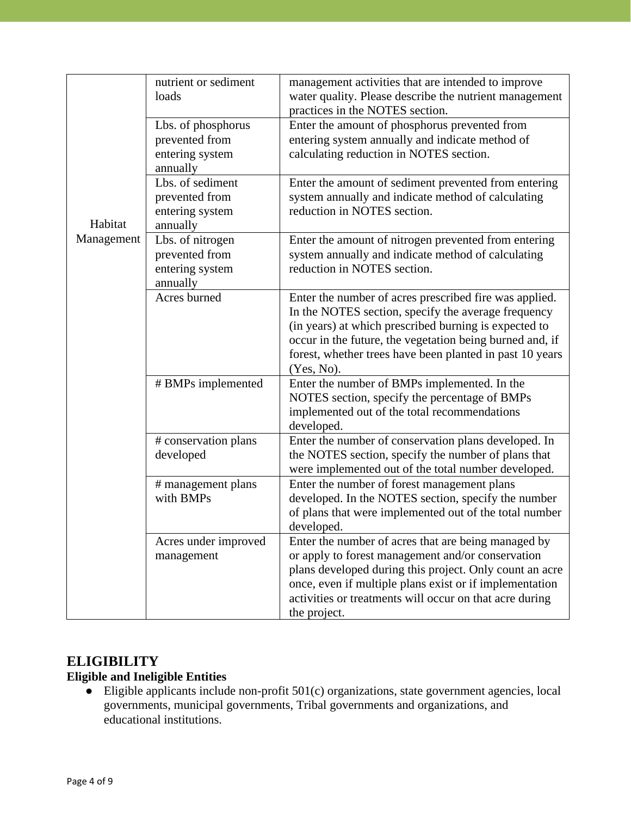| Habitat<br>Management | nutrient or sediment<br>loads                                       | management activities that are intended to improve<br>water quality. Please describe the nutrient management<br>practices in the NOTES section.                                                                                                                                                              |
|-----------------------|---------------------------------------------------------------------|--------------------------------------------------------------------------------------------------------------------------------------------------------------------------------------------------------------------------------------------------------------------------------------------------------------|
|                       | Lbs. of phosphorus<br>prevented from<br>entering system<br>annually | Enter the amount of phosphorus prevented from<br>entering system annually and indicate method of<br>calculating reduction in NOTES section.                                                                                                                                                                  |
|                       | Lbs. of sediment<br>prevented from<br>entering system<br>annually   | Enter the amount of sediment prevented from entering<br>system annually and indicate method of calculating<br>reduction in NOTES section.                                                                                                                                                                    |
|                       | Lbs. of nitrogen<br>prevented from<br>entering system<br>annually   | Enter the amount of nitrogen prevented from entering<br>system annually and indicate method of calculating<br>reduction in NOTES section.                                                                                                                                                                    |
|                       | Acres burned                                                        | Enter the number of acres prescribed fire was applied.<br>In the NOTES section, specify the average frequency<br>(in years) at which prescribed burning is expected to<br>occur in the future, the vegetation being burned and, if<br>forest, whether trees have been planted in past 10 years<br>(Yes, No). |
|                       | # BMPs implemented                                                  | Enter the number of BMPs implemented. In the<br>NOTES section, specify the percentage of BMPs<br>implemented out of the total recommendations<br>developed.                                                                                                                                                  |
|                       | # conservation plans<br>developed                                   | Enter the number of conservation plans developed. In<br>the NOTES section, specify the number of plans that<br>were implemented out of the total number developed.                                                                                                                                           |
|                       | # management plans<br>with BMPs                                     | Enter the number of forest management plans<br>developed. In the NOTES section, specify the number<br>of plans that were implemented out of the total number<br>developed.                                                                                                                                   |
|                       | Acres under improved<br>management                                  | Enter the number of acres that are being managed by<br>or apply to forest management and/or conservation<br>plans developed during this project. Only count an acre<br>once, even if multiple plans exist or if implementation<br>activities or treatments will occur on that acre during<br>the project.    |

# **ELIGIBILITY**

# **Eligible and Ineligible Entities**

● Eligible applicants include non-profit 501(c) organizations, state government agencies, local governments, municipal governments, Tribal governments and organizations, and educational institutions.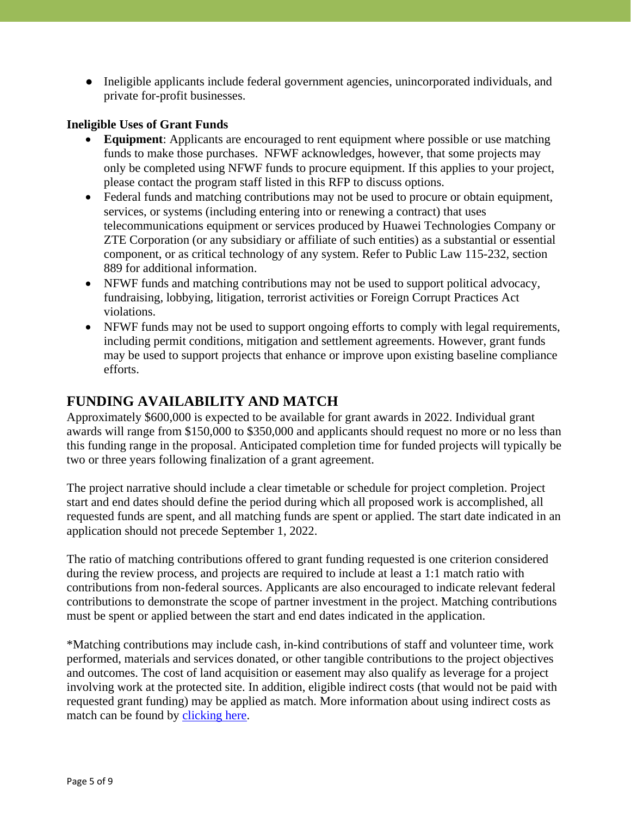● Ineligible applicants include federal government agencies, unincorporated individuals, and private for-profit businesses.

#### **Ineligible Uses of Grant Funds**

- **Equipment**: Applicants are encouraged to rent equipment where possible or use matching funds to make those purchases. NFWF acknowledges, however, that some projects may only be completed using NFWF funds to procure equipment. If this applies to your project, please contact the program staff listed in this RFP to discuss options.
- Federal funds and matching contributions may not be used to procure or obtain equipment, services, or systems (including entering into or renewing a contract) that uses telecommunications equipment or services produced by Huawei Technologies Company or ZTE Corporation (or any subsidiary or affiliate of such entities) as a substantial or essential component, or as critical technology of any system. Refer to Public Law 115-232, section 889 for additional information.
- NFWF funds and matching contributions may not be used to support political advocacy, fundraising, lobbying, litigation, terrorist activities or Foreign Corrupt Practices Act violations.
- NFWF funds may not be used to support ongoing efforts to comply with legal requirements, including permit conditions, mitigation and settlement agreements. However, grant funds may be used to support projects that enhance or improve upon existing baseline compliance efforts.

#### **FUNDING AVAILABILITY AND MATCH**

Approximately \$600,000 is expected to be available for grant awards in 2022. Individual grant awards will range from \$150,000 to \$350,000 and applicants should request no more or no less than this funding range in the proposal. Anticipated completion time for funded projects will typically be two or three years following finalization of a grant agreement.

The project narrative should include a clear timetable or schedule for project completion. Project start and end dates should define the period during which all proposed work is accomplished, all requested funds are spent, and all matching funds are spent or applied. The start date indicated in an application should not precede September 1, 2022.

The ratio of matching contributions offered to grant funding requested is one criterion considered during the review process, and projects are required to include at least a 1:1 match ratio with contributions from non-federal sources. Applicants are also encouraged to indicate relevant federal contributions to demonstrate the scope of partner investment in the project. Matching contributions must be spent or applied between the start and end dates indicated in the application.

\*Matching contributions may include cash, in-kind contributions of staff and volunteer time, work performed, materials and services donated, or other tangible contributions to the project objectives and outcomes. The cost of land acquisition or easement may also qualify as leverage for a project involving work at the protected site. In addition, eligible indirect costs (that would not be paid with requested grant funding) may be applied as match. More information about using indirect costs as match can be found by [clicking here.](http://www.nfwf.org/whatwedo/grants/applicants/Pages/indirect-policy.aspx)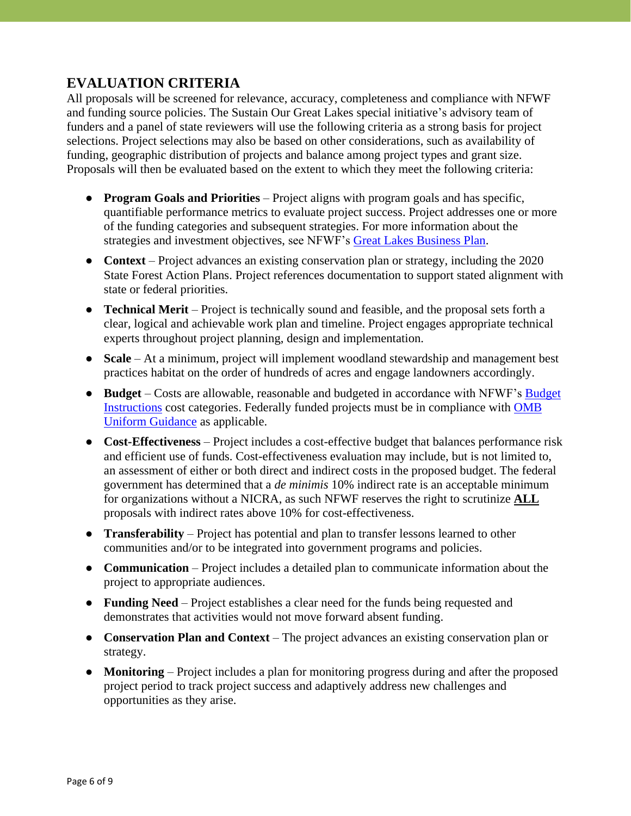### **EVALUATION CRITERIA**

All proposals will be screened for relevance, accuracy, completeness and compliance with NFWF and funding source policies. The Sustain Our Great Lakes special initiative's advisory team of funders and a panel of state reviewers will use the following criteria as a strong basis for project selections. Project selections may also be based on other considerations, such as availability of funding, geographic distribution of projects and balance among project types and grant size. Proposals will then be evaluated based on the extent to which they meet the following criteria:

- **Program Goals and Priorities** Project aligns with program goals and has specific, quantifiable performance metrics to evaluate project success. Project addresses one or more of the funding categories and subsequent strategies. For more information about the strategies and investment objectives, see NFWF's [Great Lakes Business Plan.](https://www.nfwf.org/greatlakes/Documents/great-lakes-business-plan.pdf)
- **Context** Project advances an existing conservation plan or strategy, including the 2020 State Forest Action Plans. Project references documentation to support stated alignment with state or federal priorities.
- **Technical Merit** Project is technically sound and feasible, and the proposal sets forth a clear, logical and achievable work plan and timeline. Project engages appropriate technical experts throughout project planning, design and implementation.
- **Scale** At a minimum, project will implement woodland stewardship and management best practices habitat on the order of hundreds of acres and engage landowners accordingly.
- **Budget** Costs are allowable, reasonable and budgeted in accordance with NFWF's [Budget](http://www.nfwf.org/whatwedo/grants/applicants/Pages/budget-instructions.aspx)  [Instructions](http://www.nfwf.org/whatwedo/grants/applicants/Pages/budget-instructions.aspx) cost categories. Federally funded projects must be in compliance with [OMB](https://www.ecfr.gov/current/title-2/part-200)  [Uniform Guidance](https://www.ecfr.gov/current/title-2/part-200) as applicable.
- **Cost-Effectiveness** Project includes a cost-effective budget that balances performance risk and efficient use of funds. Cost-effectiveness evaluation may include, but is not limited to, an assessment of either or both direct and indirect costs in the proposed budget. The federal government has determined that a *de minimis* 10% indirect rate is an acceptable minimum for organizations without a NICRA, as such NFWF reserves the right to scrutinize **ALL** proposals with indirect rates above 10% for cost-effectiveness.
- **Transferability** Project has potential and plan to transfer lessons learned to other communities and/or to be integrated into government programs and policies.
- **Communication** Project includes a detailed plan to communicate information about the project to appropriate audiences.
- **Funding Need** Project establishes a clear need for the funds being requested and demonstrates that activities would not move forward absent funding.
- **Conservation Plan and Context** The project advances an existing conservation plan or strategy.
- **Monitoring** Project includes a plan for monitoring progress during and after the proposed project period to track project success and adaptively address new challenges and opportunities as they arise.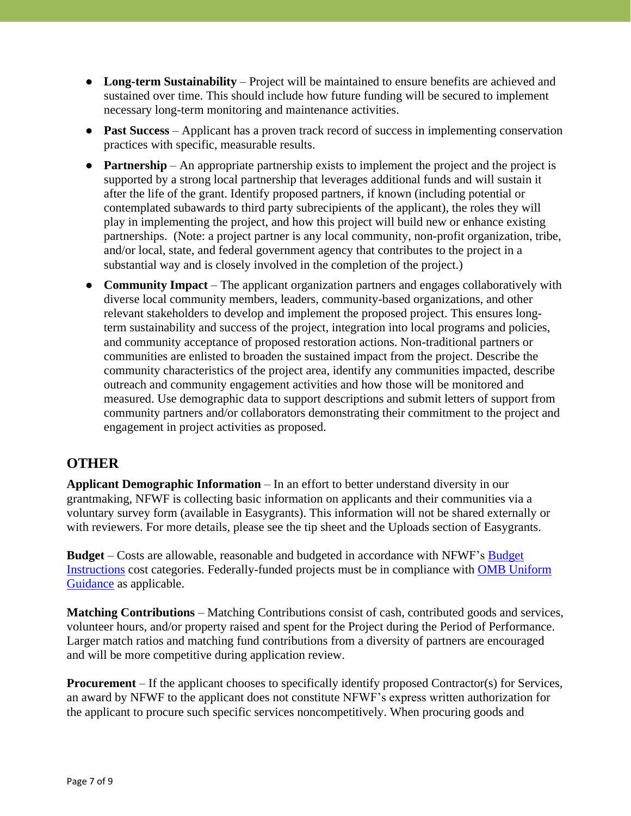- **Long-term Sustainability** Project will be maintained to ensure benefits are achieved and sustained over time. This should include how future funding will be secured to implement necessary long-term monitoring and maintenance activities.
- **Past Success** Applicant has a proven track record of success in implementing conservation practices with specific, measurable results.
- **Partnership** An appropriate partnership exists to implement the project and the project is supported by a strong local partnership that leverages additional funds and will sustain it after the life of the grant. Identify proposed partners, if known (including potential or contemplated subawards to third party subrecipients of the applicant), the roles they will play in implementing the project, and how this project will build new or enhance existing partnerships. (Note: a project partner is any local community, non-profit organization, tribe, and/or local, state, and federal government agency that contributes to the project in a substantial way and is closely involved in the completion of the project.)
- **Community Impact** The applicant organization partners and engages collaboratively with diverse local community members, leaders, community-based organizations, and other relevant stakeholders to develop and implement the proposed project. This ensures longterm sustainability and success of the project, integration into local programs and policies, and community acceptance of proposed restoration actions. Non-traditional partners or communities are enlisted to broaden the sustained impact from the project. Describe the community characteristics of the project area, identify any communities impacted, describe outreach and community engagement activities and how those will be monitored and measured. Use demographic data to support descriptions and submit letters of support from community partners and/or collaborators demonstrating their commitment to the project and engagement in project activities as proposed.

# **OTHER**

**Applicant Demographic Information** – In an effort to better understand diversity in our grantmaking, NFWF is collecting basic information on applicants and their communities via a voluntary survey form (available in Easygrants). This information will not be shared externally or with reviewers. For more details, please see the tip sheet and the Uploads section of Easygrants.

**Budget** – Costs are allowable, reasonable and budgeted in accordance with NFWF's [Budget](https://www.nfwf.org/apply-grant/application-information/budget-instructions)  [Instructions](https://www.nfwf.org/apply-grant/application-information/budget-instructions) cost categories. Federally-funded projects must be in compliance with OMB [Uniform](https://www.ecfr.gov/current/title-2/part-200)  [Guidance](https://www.ecfr.gov/current/title-2/part-200) as applicable.

**Matching Contributions** – Matching Contributions consist of cash, contributed goods and services, volunteer hours, and/or property raised and spent for the Project during the Period of Performance. Larger match ratios and matching fund contributions from a diversity of partners are encouraged and will be more competitive during application review.

**Procurement** – If the applicant chooses to specifically identify proposed Contractor(s) for Services, an award by NFWF to the applicant does not constitute NFWF's express written authorization for the applicant to procure such specific services noncompetitively. When procuring goods and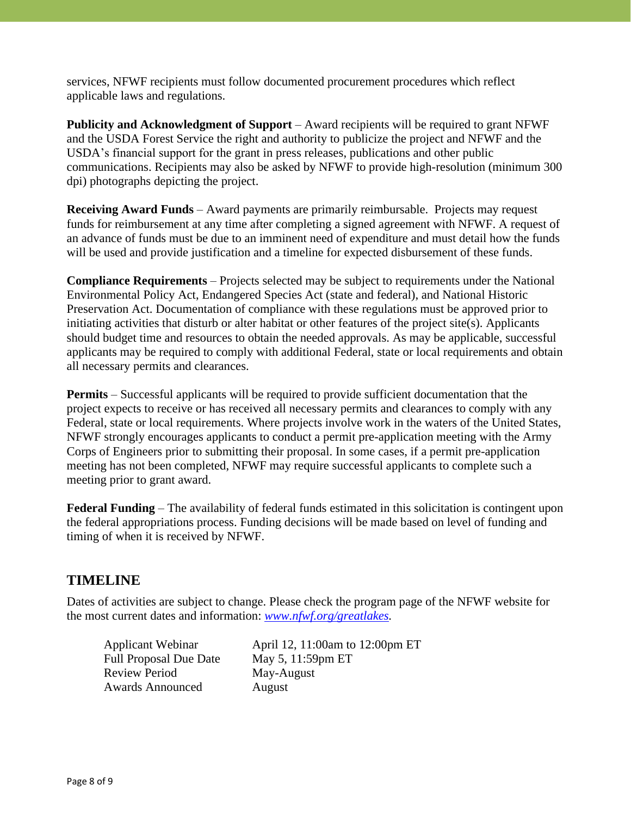services, NFWF recipients must follow documented procurement procedures which reflect applicable laws and regulations.

**Publicity and Acknowledgment of Support** – Award recipients will be required to grant NFWF and the USDA Forest Service the right and authority to publicize the project and NFWF and the USDA's financial support for the grant in press releases, publications and other public communications. Recipients may also be asked by NFWF to provide high-resolution (minimum 300 dpi) photographs depicting the project.

**Receiving Award Funds** – Award payments are primarily reimbursable. Projects may request funds for reimbursement at any time after completing a signed agreement with NFWF. A request of an advance of funds must be due to an imminent need of expenditure and must detail how the funds will be used and provide justification and a timeline for expected disbursement of these funds.

**Compliance Requirements** – Projects selected may be subject to requirements under the National Environmental Policy Act, Endangered Species Act (state and federal), and National Historic Preservation Act. Documentation of compliance with these regulations must be approved prior to initiating activities that disturb or alter habitat or other features of the project site(s). Applicants should budget time and resources to obtain the needed approvals. As may be applicable, successful applicants may be required to comply with additional Federal, state or local requirements and obtain all necessary permits and clearances.

**Permits** – Successful applicants will be required to provide sufficient documentation that the project expects to receive or has received all necessary permits and clearances to comply with any Federal, state or local requirements. Where projects involve work in the waters of the United States, NFWF strongly encourages applicants to conduct a permit pre-application meeting with the Army Corps of Engineers prior to submitting their proposal. In some cases, if a permit pre-application meeting has not been completed, NFWF may require successful applicants to complete such a meeting prior to grant award.

**Federal Funding** – The availability of federal funds estimated in this solicitation is contingent upon the federal appropriations process. Funding decisions will be made based on level of funding and timing of when it is received by NFWF.

# **TIMELINE**

Dates of activities are subject to change. Please check the program page of the NFWF website for the most current dates and information: *[www.nfwf.org/greatlakes.](http://www.nfwf.org/greatlakes)*

Full Proposal Due Date May 5, 11:59pm ET Review Period May-August Awards Announced August

Applicant Webinar April 12, 11:00am to 12:00pm ET